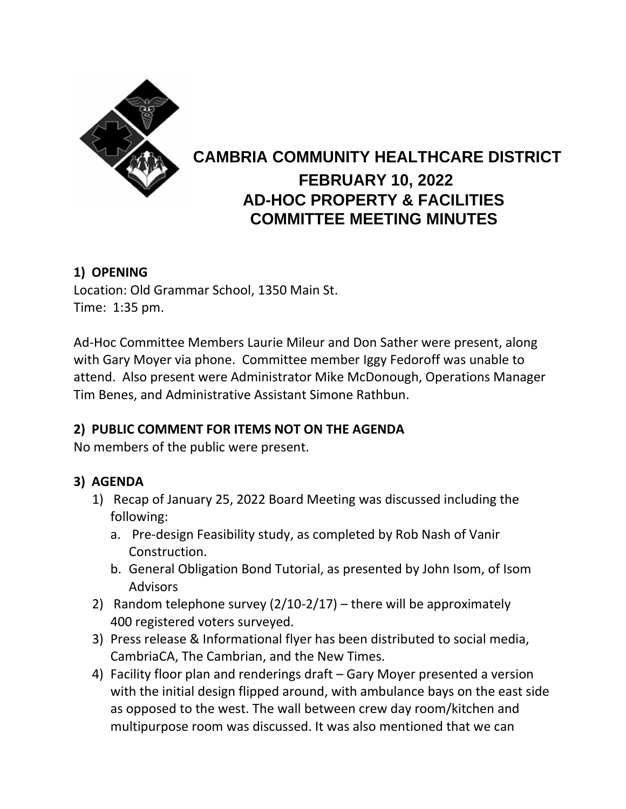

# **CAMBRIA COMMUNITY HEALTHCARE DISTRICT FEBRUARY 10, 2022 AD-HOC PROPERTY & FACILITIES COMMITTEE MEETING MINUTES**

## **1) OPENING**

Location: Old Grammar School, 1350 Main St. Time: 1:35 pm.

Ad-Hoc Committee Members Laurie Mileur and Don Sather were present, along with Gary Moyer via phone. Committee member Iggy Fedoroff was unable to attend. Also present were Administrator Mike McDonough, Operations Manager Tim Benes, and Administrative Assistant Simone Rathbun.

## **2) PUBLIC COMMENT FOR ITEMS NOT ON THE AGENDA**

No members of the public were present.

### **3) AGENDA**

- 1) Recap of January 25, 2022 Board Meeting was discussed including the following:
	- a. Pre-design Feasibility study, as completed by Rob Nash of Vanir Construction.
	- b. General Obligation Bond Tutorial, as presented by John Isom, of Isom Advisors
- 2) Random telephone survey  $(2/10-2/17)$  there will be approximately 400 registered voters surveyed.
- 3) Press release & Informational flyer has been distributed to social media, CambriaCA, The Cambrian, and the New Times.
- 4) Facility floor plan and renderings draft Gary Moyer presented a version with the initial design flipped around, with ambulance bays on the east side as opposed to the west. The wall between crew day room/kitchen and multipurpose room was discussed. It was also mentioned that we can